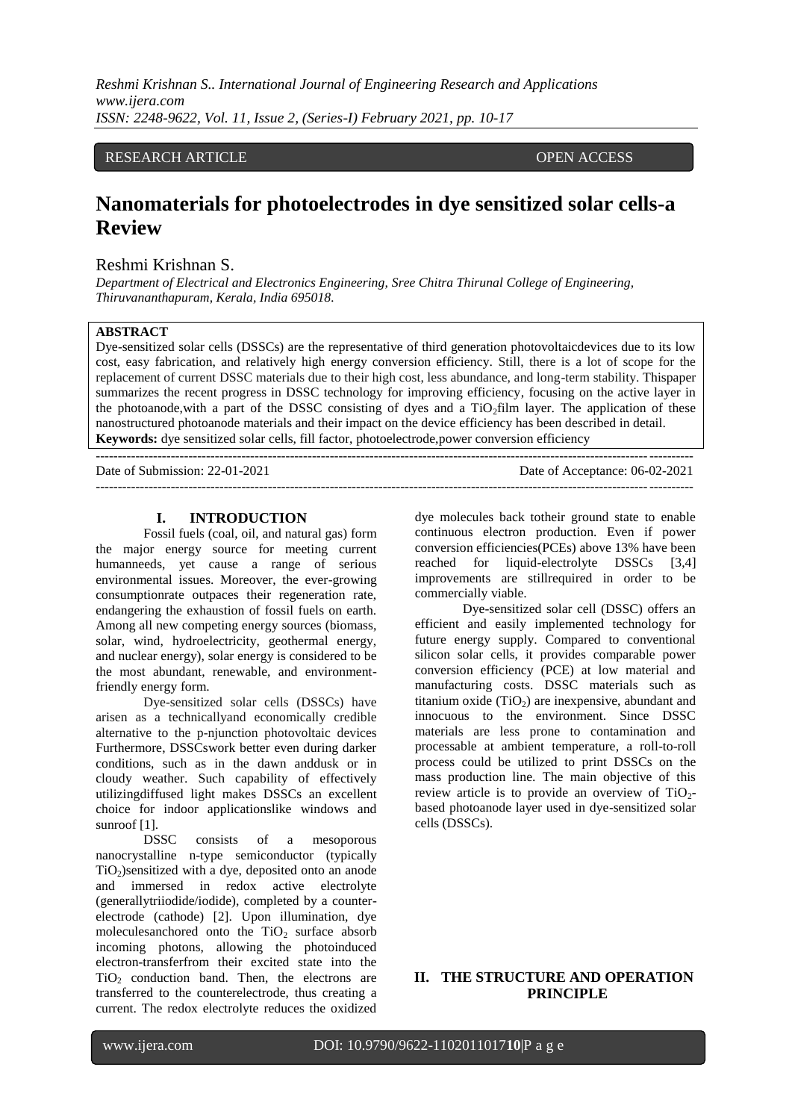*Reshmi Krishnan S.. International Journal of Engineering Research and Applications www.ijera.com ISSN: 2248-9622, Vol. 11, Issue 2, (Series-I) February 2021, pp. 10-17*

# RESEARCH ARTICLE **OPEN ACCESS**

# **Nanomaterials for photoelectrodes in dye sensitized solar cells-a Review**

### Reshmi Krishnan S.

*Department of Electrical and Electronics Engineering, Sree Chitra Thirunal College of Engineering, Thiruvananthapuram, Kerala, India 695018.*

#### **ABSTRACT**

Dye-sensitized solar cells (DSSCs) are the representative of third generation photovoltaicdevices due to its low cost, easy fabrication, and relatively high energy conversion efficiency. Still, there is a lot of scope for the replacement of current DSSC materials due to their high cost, less abundance, and long-term stability. Thispaper summarizes the recent progress in DSSC technology for improving efficiency, focusing on the active layer in the photoanode, with a part of the DSSC consisting of dyes and a TiO<sub>2</sub>film layer. The application of these nanostructured photoanode materials and their impact on the device efficiency has been described in detail. **Keywords:** dye sensitized solar cells, fill factor, photoelectrode,power conversion efficiency

| Date of Submission: $22-01-2021$ | Date of Acceptance: 06-02-2021 |
|----------------------------------|--------------------------------|
|                                  |                                |

#### **I. INTRODUCTION**

Fossil fuels (coal, oil, and natural gas) form the major energy source for meeting current humanneeds, yet cause a range of serious environmental issues. Moreover, the ever-growing consumptionrate outpaces their regeneration rate, endangering the exhaustion of fossil fuels on earth. Among all new competing energy sources (biomass, solar, wind, hydroelectricity, geothermal energy, and nuclear energy), solar energy is considered to be the most abundant, renewable, and environmentfriendly energy form.

Dye-sensitized solar cells (DSSCs) have arisen as a technicallyand economically credible alternative to the p-njunction photovoltaic devices Furthermore, DSSCswork better even during darker conditions, such as in the dawn anddusk or in cloudy weather. Such capability of effectively utilizingdiffused light makes DSSCs an excellent choice for indoor applicationslike windows and sunroof [1].

DSSC consists of a mesoporous nanocrystalline n-type semiconductor (typically  $TiO<sub>2</sub>$ )sensitized with a dye, deposited onto an anode and immersed in redox active electrolyte (generallytriiodide/iodide), completed by a counterelectrode (cathode) [2]. Upon illumination, dye moleculesanchored onto the  $TiO<sub>2</sub>$  surface absorb incoming photons, allowing the photoinduced electron-transferfrom their excited state into the  $TiO<sub>2</sub>$  conduction band. Then, the electrons are transferred to the counterelectrode, thus creating a current. The redox electrolyte reduces the oxidized

dye molecules back totheir ground state to enable continuous electron production. Even if power conversion efficiencies(PCEs) above 13% have been reached for liquid-electrolyte DSSCs [3,4] improvements are stillrequired in order to be commercially viable.

Dye-sensitized solar cell (DSSC) offers an efficient and easily implemented technology for future energy supply. Compared to conventional silicon solar cells, it provides comparable power conversion efficiency (PCE) at low material and manufacturing costs. DSSC materials such as titanium oxide  $(TiO<sub>2</sub>)$  are inexpensive, abundant and innocuous to the environment. Since DSSC materials are less prone to contamination and processable at ambient temperature, a roll-to-roll process could be utilized to print DSSCs on the mass production line. The main objective of this review article is to provide an overview of  $TiO<sub>2</sub>$ based photoanode layer used in dye-sensitized solar cells (DSSCs).

# **II. THE STRUCTURE AND OPERATION PRINCIPLE**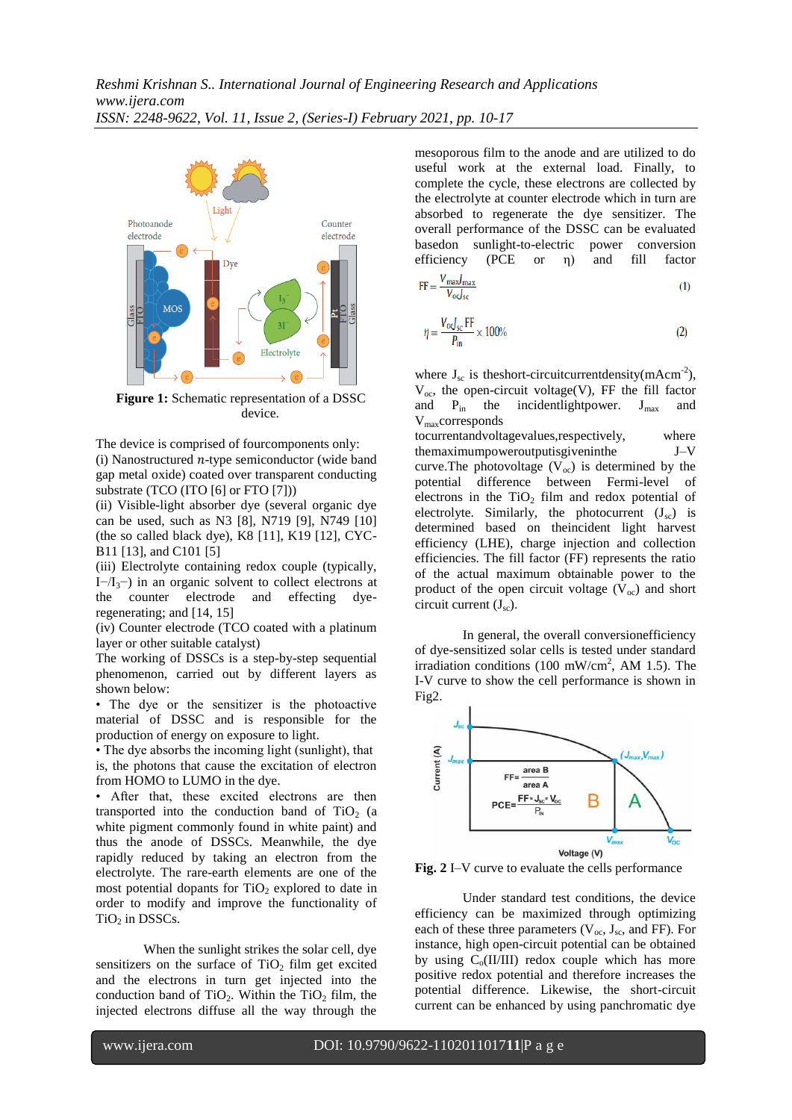

**Figure 1:** Schematic representation of a DSSC device.

The device is comprised of fourcomponents only: (i) Nanostructured  $n$ -type semiconductor (wide band gap metal oxide) coated over transparent conducting substrate (TCO (ITO [6] or FTO [7]))

(ii) Visible-light absorber dye (several organic dye can be used, such as N3 [8], N719 [9], N749 [10] (the so called black dye), K8 [11], K19 [12], CYC-B11 [13], and C101 [5]

(iii) Electrolyte containing redox couple (typically, I $-I_3$ <sup>-</sup>) in an organic solvent to collect electrons at the counter electrode and effecting dyeregenerating; and [14, 15]

(iv) Counter electrode (TCO coated with a platinum layer or other suitable catalyst)

The working of DSSCs is a step-by-step sequential phenomenon, carried out by different layers as shown below:

• The dye or the sensitizer is the photoactive material of DSSC and is responsible for the production of energy on exposure to light.

• The dye absorbs the incoming light (sunlight), that is, the photons that cause the excitation of electron from HOMO to LUMO in the dye.

• After that, these excited electrons are then transported into the conduction band of  $TiO<sub>2</sub>$  (a white pigment commonly found in white paint) and thus the anode of DSSCs. Meanwhile, the dye rapidly reduced by taking an electron from the electrolyte. The rare-earth elements are one of the most potential dopants for  $TiO<sub>2</sub>$  explored to date in order to modify and improve the functionality of  $TiO<sub>2</sub>$  in DSSCs.

When the sunlight strikes the solar cell, dye sensitizers on the surface of  $TiO<sub>2</sub>$  film get excited and the electrons in turn get injected into the conduction band of  $TiO<sub>2</sub>$ . Within the  $TiO<sub>2</sub>$  film, the injected electrons diffuse all the way through the mesoporous film to the anode and are utilized to do useful work at the external load. Finally, to complete the cycle, these electrons are collected by the electrolyte at counter electrode which in turn are absorbed to regenerate the dye sensitizer. The overall performance of the DSSC can be evaluated basedon sunlight-to-electric power conversion efficiency (PCE or η) and fill factor

$$
FF = \frac{V_{\text{max}}J_{\text{max}}}{V_{\text{oc}}J_{\text{sc}}}
$$
 (1)

$$
\eta = \frac{V_{\text{o}}J_{\text{sc}} \text{ FF}}{P_{\text{in}}} \times 100\%
$$
 (2)

where  $J_{sc}$  is theshort-circuitcurrentdensity(mAcm<sup>-2</sup>),  $V_{\text{oc}}$ , the open-circuit voltage(V), FF the fill factor and  $P_{in}$  the incidentlightpower.  $J_{max}$  and Vmaxcorresponds

tocurrentandvoltagevalues,respectively, where themaximumpoweroutputisgiveninthe J–V curve. The photovoltage  $(V_{\alpha})$  is determined by the potential difference between Fermi-level of electrons in the  $TiO<sub>2</sub>$  film and redox potential of electrolyte. Similarly, the photocurrent  $(J_{sc})$  is determined based on theincident light harvest efficiency (LHE), charge injection and collection efficiencies. The fill factor (FF) represents the ratio of the actual maximum obtainable power to the product of the open circuit voltage  $(V_{oc})$  and short circuit current  $(J_{sc})$ .

In general, the overall conversionefficiency of dye-sensitized solar cells is tested under standard irradiation conditions (100 mW/cm<sup>2</sup>, AM 1.5). The I-V curve to show the cell performance is shown in Fig2.



**Fig. 2** I–V curve to evaluate the cells performance

Under standard test conditions, the device efficiency can be maximized through optimizing each of these three parameters  $(V_{oc}, J_{sc},$  and FF). For instance, high open-circuit potential can be obtained by using  $C_0(II/III)$  redox couple which has more positive redox potential and therefore increases the potential difference. Likewise, the short-circuit current can be enhanced by using panchromatic dye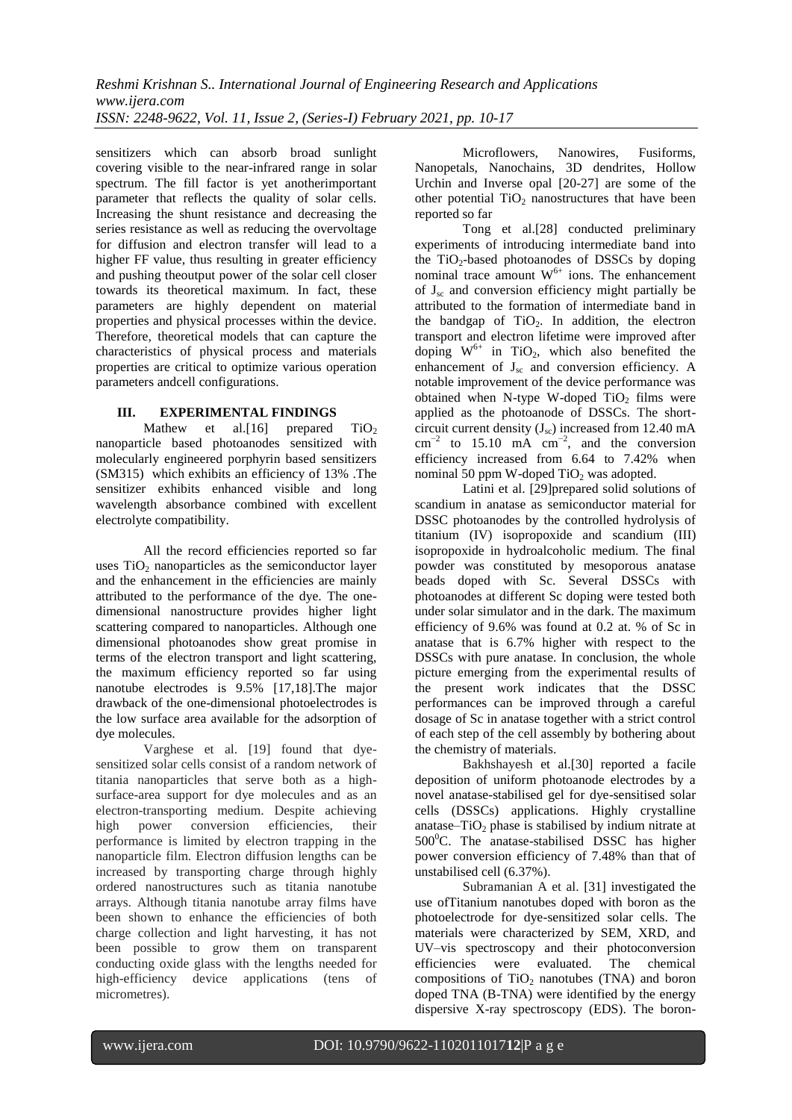sensitizers which can absorb broad sunlight covering visible to the near-infrared range in solar spectrum. The fill factor is yet anotherimportant parameter that reflects the quality of solar cells. Increasing the shunt resistance and decreasing the series resistance as well as reducing the overvoltage for diffusion and electron transfer will lead to a higher FF value, thus resulting in greater efficiency and pushing theoutput power of the solar cell closer towards its theoretical maximum. In fact, these parameters are highly dependent on material properties and physical processes within the device. Therefore, theoretical models that can capture the characteristics of physical process and materials properties are critical to optimize various operation parameters andcell configurations.

# **III. EXPERIMENTAL FINDINGS**

Mathew et al.[16] prepared  $TiO<sub>2</sub>$ nanoparticle based photoanodes sensitized with molecularly engineered porphyrin based sensitizers (SM315) which exhibits an efficiency of 13% .The sensitizer exhibits enhanced visible and long wavelength absorbance combined with excellent electrolyte compatibility.

All the record efficiencies reported so far uses  $TiO<sub>2</sub>$  nanoparticles as the semiconductor layer and the enhancement in the efficiencies are mainly attributed to the performance of the dye. The onedimensional nanostructure provides higher light scattering compared to nanoparticles. Although one dimensional photoanodes show great promise in terms of the electron transport and light scattering, the maximum efficiency reported so far using nanotube electrodes is 9.5% [17,18].The major drawback of the one-dimensional photoelectrodes is the low surface area available for the adsorption of dye molecules.

Varghese et al. [19] found that dyesensitized solar cells consist of a random network of titania nanoparticles that serve both as a highsurface-area support for dye molecules and as an electron-transporting medium. Despite achieving high power conversion efficiencies, their performance is limited by electron trapping in the nanoparticle film. Electron diffusion lengths can be increased by transporting charge through highly ordered nanostructures such as titania nanotube arrays. Although titania nanotube array films have been shown to enhance the efficiencies of both charge collection and light harvesting, it has not been possible to grow them on transparent conducting oxide glass with the lengths needed for high-efficiency device applications (tens of micrometres).

Microflowers, Nanowires, Fusiforms, Nanopetals, Nanochains, 3D dendrites, Hollow Urchin and Inverse opal [20-27] are some of the other potential  $TiO<sub>2</sub>$  nanostructures that have been reported so far

Tong et al.[28] conducted preliminary experiments of introducing intermediate band into the TiO<sub>2</sub>-based photoanodes of DSSCs by doping nominal trace amount  $W^{6+}$  ions. The enhancement of  $J_{\rm sc}$  and conversion efficiency might partially be attributed to the formation of intermediate band in the bandgap of  $TiO<sub>2</sub>$ . In addition, the electron transport and electron lifetime were improved after doping  $W^{6+}$  in TiO<sub>2</sub>, which also benefited the enhancement of  $J_{sc}$  and conversion efficiency. A notable improvement of the device performance was obtained when N-type W-doped  $TiO<sub>2</sub>$  films were applied as the photoanode of DSSCs. The shortcircuit current density  $(J_{sc})$  increased from 12.40 mA  $\text{cm}^{-2}$  to 15.10 mA  $\text{cm}^{-2}$ , and the conversion efficiency increased from 6.64 to 7.42% when nominal 50 ppm W-doped  $TiO<sub>2</sub>$  was adopted.

Latini et al. [29]prepared solid solutions of scandium in anatase as semiconductor material for DSSC photoanodes by the controlled hydrolysis of titanium (IV) isopropoxide and scandium (III) isopropoxide in hydroalcoholic medium. The final powder was constituted by mesoporous anatase beads doped with Sc. Several DSSCs with photoanodes at different Sc doping were tested both under solar simulator and in the dark. The maximum efficiency of 9.6% was found at 0.2 at. % of Sc in anatase that is 6.7% higher with respect to the DSSCs with pure anatase. In conclusion, the whole picture emerging from the experimental results of the present work indicates that the DSSC performances can be improved through a careful dosage of Sc in anatase together with a strict control of each step of the cell assembly by bothering about the chemistry of materials.

Bakhshayesh et al.[30] reported a facile deposition of uniform photoanode electrodes by a novel anatase-stabilised gel for dye-sensitised solar cells (DSSCs) applications. Highly crystalline anatase– $TiO<sub>2</sub>$  phase is stabilised by indium nitrate at  $500^{\circ}$ C. The anatase-stabilised DSSC has higher power conversion efficiency of 7.48% than that of unstabilised cell (6.37%).

Subramanian A et al. [31] investigated the use ofTitanium nanotubes doped with boron as the photoelectrode for dye-sensitized solar cells. The materials were characterized by SEM, XRD, and UV–vis spectroscopy and their photoconversion efficiencies were evaluated. The chemical compositions of  $TiO<sub>2</sub>$  nanotubes (TNA) and boron doped TNA (B-TNA) were identified by the energy dispersive X-ray spectroscopy (EDS). The boron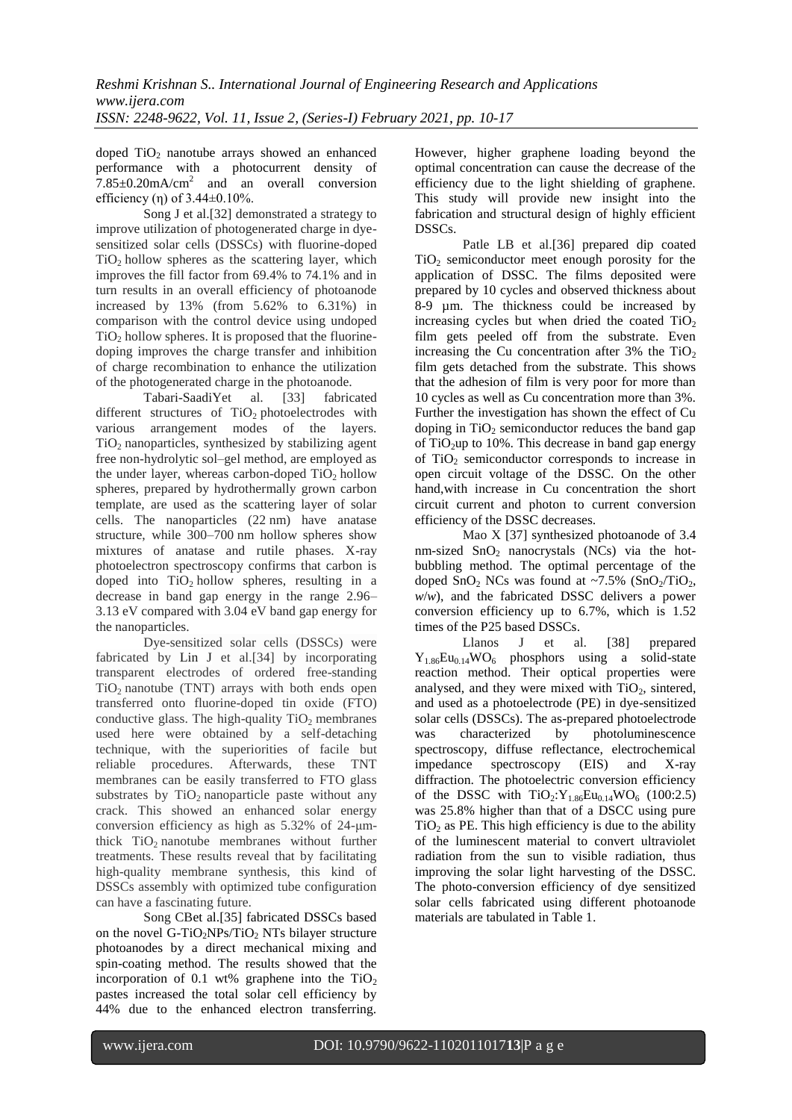doped  $TiO<sub>2</sub>$  nanotube arrays showed an enhanced performance with a photocurrent density of  $7.85\pm0.20$ mA/cm<sup>2</sup> and an overall conversion efficiency (n) of  $3.44\pm0.10\%$ .

Song J et al.[32] demonstrated a strategy to improve utilization of photogenerated charge in dyesensitized solar cells (DSSCs) with fluorine-doped  $TiO<sub>2</sub>$  hollow spheres as the scattering layer, which improves the fill factor from 69.4% to 74.1% and in turn results in an overall efficiency of photoanode increased by 13% (from 5.62% to 6.31%) in comparison with the control device using undoped  $TiO<sub>2</sub>$  hollow spheres. It is proposed that the fluorinedoping improves the charge transfer and inhibition of charge recombination to enhance the utilization of the photogenerated charge in the photoanode.

Tabari-SaadiYet al. [33] fabricated different structures of  $TiO<sub>2</sub>$  photoelectrodes with various arrangement modes of the layers.  $TiO<sub>2</sub>$  nanoparticles, synthesized by stabilizing agent free non-hydrolytic sol–gel method, are employed as the under layer, whereas carbon-doped  $TiO<sub>2</sub>$  hollow spheres, prepared by hydrothermally grown carbon template, are used as the scattering layer of solar cells. The nanoparticles (22 nm) have anatase structure, while 300–700 nm hollow spheres show mixtures of anatase and rutile phases. X-ray photoelectron spectroscopy confirms that carbon is doped into  $TiO<sub>2</sub>$  hollow spheres, resulting in a decrease in band gap energy in the range 2.96– 3.13 eV compared with 3.04 eV band gap energy for the nanoparticles.

Dye-sensitized solar cells (DSSCs) were fabricated by Lin J et al.[34] by incorporating transparent electrodes of ordered free-standing  $TiO<sub>2</sub>$  nanotube (TNT) arrays with both ends open transferred onto fluorine-doped tin oxide (FTO) conductive glass. The high-quality  $TiO<sub>2</sub>$  membranes used here were obtained by a self-detaching technique, with the superiorities of facile but reliable procedures. Afterwards, these TNT membranes can be easily transferred to FTO glass substrates by  $TiO<sub>2</sub>$  nanoparticle paste without any crack. This showed an enhanced solar energy conversion efficiency as high as 5.32% of 24-μmthick  $TiO<sub>2</sub>$  nanotube membranes without further treatments. These results reveal that by facilitating high-quality membrane synthesis, this kind of DSSCs assembly with optimized tube configuration can have a fascinating future.

Song CBet al.[35] fabricated DSSCs based on the novel G-TiO<sub>2</sub>NPs/TiO<sub>2</sub> NTs bilayer structure photoanodes by a direct mechanical mixing and spin-coating method. The results showed that the incorporation of 0.1 wt% graphene into the  $TiO<sub>2</sub>$ pastes increased the total solar cell efficiency by 44% due to the enhanced electron transferring.

However, higher graphene loading beyond the optimal concentration can cause the decrease of the efficiency due to the light shielding of graphene. This study will provide new insight into the fabrication and structural design of highly efficient DSSCs.

Patle LB et al.[36] prepared dip coated  $TiO<sub>2</sub>$  semiconductor meet enough porosity for the application of DSSC. The films deposited were prepared by 10 cycles and observed thickness about 8-9 µm. The thickness could be increased by increasing cycles but when dried the coated  $TiO<sub>2</sub>$ film gets peeled off from the substrate. Even increasing the Cu concentration after  $3\%$  the TiO<sub>2</sub> film gets detached from the substrate. This shows that the adhesion of film is very poor for more than 10 cycles as well as Cu concentration more than 3%. Further the investigation has shown the effect of Cu doping in  $TiO<sub>2</sub>$  semiconductor reduces the band gap of  $TiO<sub>2</sub>$ up to 10%. This decrease in band gap energy of  $TiO<sub>2</sub>$  semiconductor corresponds to increase in open circuit voltage of the DSSC. On the other hand,with increase in Cu concentration the short circuit current and photon to current conversion efficiency of the DSSC decreases.

Mao X [37] synthesized photoanode of 3.4 nm-sized  $SnO<sub>2</sub>$  nanocrystals (NCs) via the hotbubbling method. The optimal percentage of the doped  $SnO<sub>2</sub> NCs$  was found at ~7.5%  $(SnO<sub>2</sub>/TiO<sub>2</sub>)$ , *w/w*), and the fabricated DSSC delivers a power conversion efficiency up to 6.7%, which is 1.52 times of the P25 based DSSCs.

Llanos J et al. [38] prepared  $Y_{1.86}Eu_{0.14}WO_6$  phosphors using a solid-state reaction method. Their optical properties were analysed, and they were mixed with  $TiO<sub>2</sub>$ , sintered, and used as a photoelectrode (PE) in dye-sensitized solar cells (DSSCs). The as-prepared photoelectrode was characterized by photoluminescence spectroscopy, diffuse reflectance, electrochemical impedance spectroscopy (EIS) and X-ray diffraction. The photoelectric conversion efficiency of the DSSC with  $TiO<sub>2</sub>:Y<sub>1.86</sub>Eu<sub>0.14</sub>WO<sub>6</sub> (100:2.5)$ was 25.8% higher than that of a DSCC using pure  $TiO<sub>2</sub>$  as PE. This high efficiency is due to the ability of the luminescent material to convert ultraviolet radiation from the sun to visible radiation, thus improving the solar light harvesting of the DSSC. The photo-conversion efficiency of dye sensitized solar cells fabricated using different photoanode materials are tabulated in Table 1.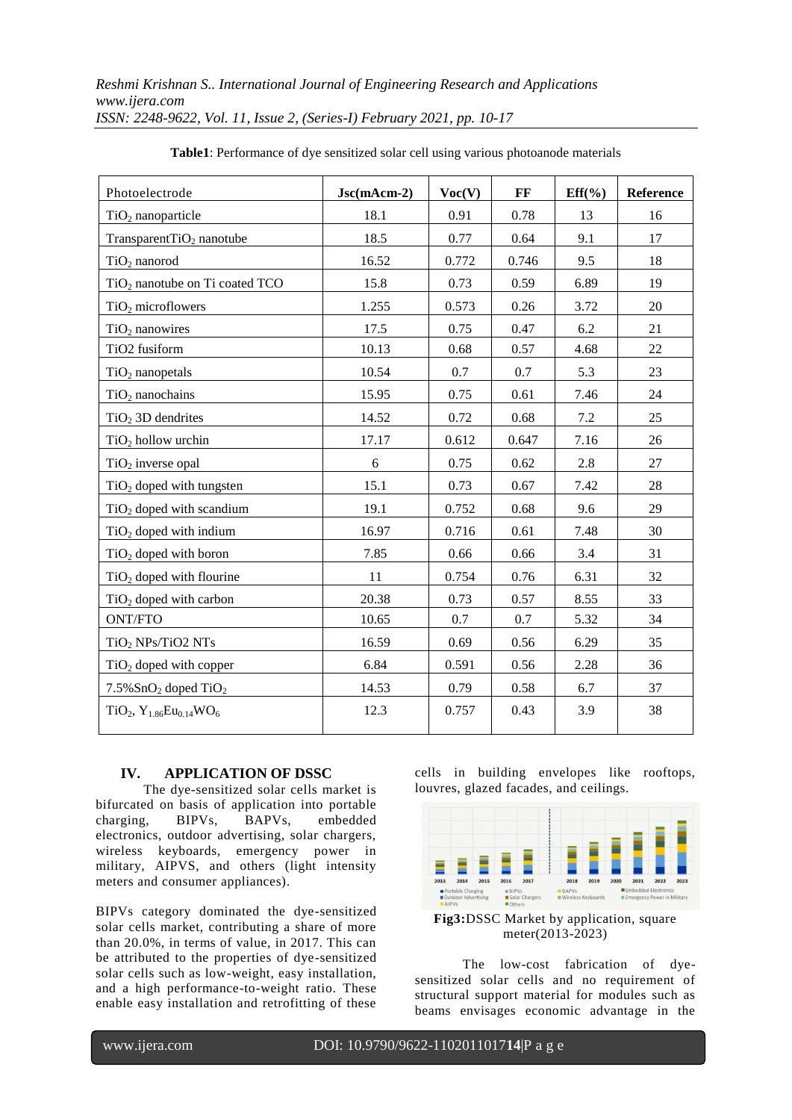| Photoelectrode                                  | $Jsc(mAcm-2)$ | Voc(V) | FF    | $Eff(\%)$ | Reference |
|-------------------------------------------------|---------------|--------|-------|-----------|-----------|
| $TiO2$ nanoparticle                             | 18.1          | 0.91   | 0.78  | 13        | 16        |
| Transparent $TiO2$ nanotube                     | 18.5          | 0.77   | 0.64  | 9.1       | 17        |
| $TiO2$ nanorod                                  | 16.52         | 0.772  | 0.746 | 9.5       | 18        |
| $TiO2$ nanotube on Ti coated TCO                | 15.8          | 0.73   | 0.59  | 6.89      | 19        |
| $TiO2$ microflowers                             | 1.255         | 0.573  | 0.26  | 3.72      | 20        |
| $TiO2$ nanowires                                | 17.5          | 0.75   | 0.47  | 6.2       | 21        |
| TiO2 fusiform                                   | 10.13         | 0.68   | 0.57  | 4.68      | 22        |
| $TiO2$ nanopetals                               | 10.54         | 0.7    | 0.7   | 5.3       | 23        |
| $TiO2$ nanochains                               | 15.95         | 0.75   | 0.61  | 7.46      | 24        |
| $TiO2$ 3D dendrites                             | 14.52         | 0.72   | 0.68  | 7.2       | 25        |
| $TiO2$ hollow urchin                            | 17.17         | 0.612  | 0.647 | 7.16      | 26        |
| $TiO2$ inverse opal                             | 6             | 0.75   | 0.62  | 2.8       | 27        |
| $TiO2$ doped with tungsten                      | 15.1          | 0.73   | 0.67  | 7.42      | 28        |
| $TiO2$ doped with scandium                      | 19.1          | 0.752  | 0.68  | 9.6       | 29        |
| $TiO2$ doped with indium                        | 16.97         | 0.716  | 0.61  | 7.48      | 30        |
| $TiO2$ doped with boron                         | 7.85          | 0.66   | 0.66  | 3.4       | 31        |
| $TiO2$ doped with flourine                      | 11            | 0.754  | 0.76  | 6.31      | 32        |
| $TiO2$ doped with carbon                        | 20.38         | 0.73   | 0.57  | 8.55      | 33        |
| ONT/FTO                                         | 10.65         | 0.7    | 0.7   | 5.32      | 34        |
| $TiO2$ NPs/TiO2 NTs                             | 16.59         | 0.69   | 0.56  | 6.29      | 35        |
| $TiO2$ doped with copper                        | 6.84          | 0.591  | 0.56  | 2.28      | 36        |
| $7.5\%$ SnO <sub>2</sub> doped TiO <sub>2</sub> | 14.53         | 0.79   | 0.58  | 6.7       | 37        |
| $TiO2, Y1.86Eu0.14WO6$                          | 12.3          | 0.757  | 0.43  | 3.9       | 38        |

**Table1**: Performance of dye sensitized solar cell using various photoanode materials

### **IV. APPLICATION OF DSSC**

The dye-sensitized solar cells market is bifurcated on basis of application into portable charging, BIPVs, BAPVs, embedded electronics, outdoor advertising, solar chargers, wireless keyboards, emergency power in military, AIPVS, and others (light intensity meters and consumer appliances).

BIPVs category dominated the dye-sensitized solar cells market, contributing a share of more than 20.0%, in terms of value, in 2017. This can be attributed to the properties of dye-sensitized solar cells such as low-weight, easy installation, and a high performance-to-weight ratio. These enable easy installation and retrofitting of these

cells in building envelopes like rooftops, louvres, glazed facades, and ceilings.



**Fig3:**DSSC Market by application, square meter(2013-2023)

The low-cost fabrication of dyesensitized solar cells and no requirement of structural support material for modules such as beams envisages economic advantage in the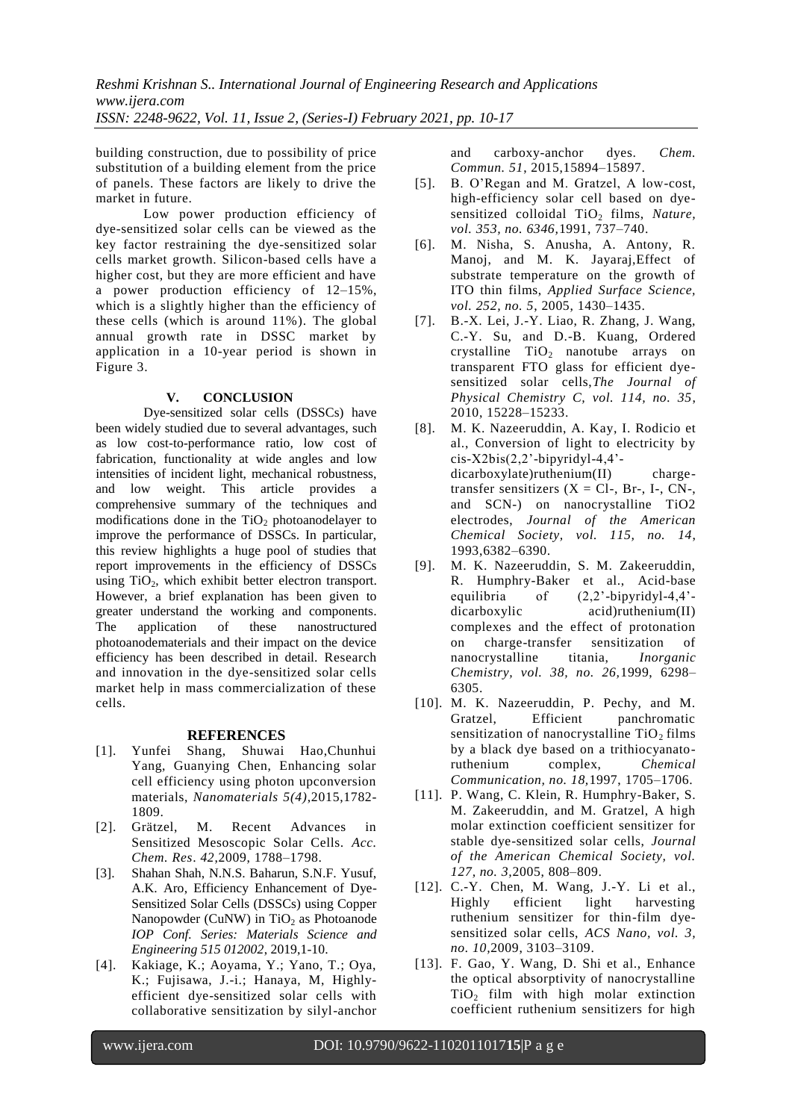building construction, due to possibility of price substitution of a building element from the price of panels. These factors are likely to drive the market in future.

Low power production efficiency of dye-sensitized solar cells can be viewed as the key factor restraining the dye-sensitized solar cells market growth. Silicon-based cells have a higher cost, but they are more efficient and have a power production efficiency of 12–15%, which is a slightly higher than the efficiency of these cells (which is around 11%). The global annual growth rate in DSSC market by application in a 10-year period is shown in Figure 3.

# **V. CONCLUSION**

Dye-sensitized solar cells (DSSCs) have been widely studied due to several advantages, such as low cost-to-performance ratio, low cost of fabrication, functionality at wide angles and low intensities of incident light, mechanical robustness, and low weight. This article provides a comprehensive summary of the techniques and modifications done in the  $TiO<sub>2</sub>$  photoanodelayer to improve the performance of DSSCs. In particular, this review highlights a huge pool of studies that report improvements in the efficiency of DSSCs using TiO<sub>2</sub>, which exhibit better electron transport. However, a brief explanation has been given to greater understand the working and components. The application of these nanostructured photoanodematerials and their impact on the device efficiency has been described in detail. Research and innovation in the dye-sensitized solar cells market help in mass commercialization of these cells.

### **REFERENCES**

- [1]. Yunfei Shang, Shuwai Hao,Chunhui Yang, Guanying Chen, Enhancing solar cell efficiency using photon upconversion materials, *Nanomaterials 5(4)*,2015,1782- 1809.
- [2]. Grätzel, M. Recent Advances in Sensitized Mesoscopic Solar Cells. *Acc. Chem. Res*. *42*,2009, 1788–1798.
- [3]. Shahan Shah, N.N.S. Baharun, S.N.F. Yusuf, A.K. Aro, Efficiency Enhancement of Dye-Sensitized Solar Cells (DSSCs) using Copper Nanopowder (CuNW) in  $TiO<sub>2</sub>$  as Photoanode *IOP Conf. Series: Materials Science and Engineering 515 012002*, 2019,1-10.
- [4]. Kakiage, K.; Aoyama, Y.; Yano, T.; Oya, K.; Fujisawa, J.-i.; Hanaya, M, Highlyefficient dye-sensitized solar cells with collaborative sensitization by silyl-anchor

and carboxy-anchor dyes. *Chem. Commun. 51*, 2015,15894–15897.

- [5]. B. O'Regan and M. Gratzel, A low-cost, high-efficiency solar cell based on dyesensitized colloidal TiO<sub>2</sub> films, *Nature*, *vol. 353, no. 6346,*1991, 737–740.
- [6]. M. Nisha, S. Anusha, A. Antony, R. Manoj, and M. K. Jayaraj,Effect of substrate temperature on the growth of ITO thin films, *Applied Surface Science, vol. 252, no. 5*, 2005, 1430–1435.
- [7]. B.-X. Lei, J.-Y. Liao, R. Zhang, J. Wang, C.-Y. Su, and D.-B. Kuang, Ordered crystalline  $TiO<sub>2</sub>$  nanotube arrays on transparent FTO glass for efficient dyesensitized solar cells,*The Journal of Physical Chemistry C, vol. 114, no. 35*, 2010, 15228–15233.
- [8]. M. K. Nazeeruddin, A. Kay, I. Rodicio et al., Conversion of light to electricity by  $cis-X2bis(2,2'-bipyridyl-4,4'$ dicarboxylate)ruthenium(II) chargetransfer sensitizers  $(X = Cl-, Br-, I-, CN-,$ and SCN-) on nanocrystalline TiO2 electrodes, *Journal of the American Chemical Society, vol. 115, no. 14*, 1993,6382–6390.
- [9]. M. K. Nazeeruddin, S. M. Zakeeruddin, R. Humphry-Baker et al., Acid-base equilibria of  $(2,2)$ -bipyridyl-4,4'dicarboxylic acid)ruthenium(II) complexes and the effect of protonation on charge-transfer sensitization of nanocrystalline titania, *Inorganic Chemistry, vol. 38, no. 26,*1999, 6298– 6305.
- [10]. M. K. Nazeeruddin, P. Pechy, and M. Gratzel, Efficient panchromatic sensitization of nanocrystalline  $TiO<sub>2</sub>$  films by a black dye based on a trithiocyanatoruthenium complex, *Chemical Communication, no. 18,*1997, 1705–1706.
- [11]. P. Wang, C. Klein, R. Humphry-Baker, S. M. Zakeeruddin, and M. Gratzel, A high molar extinction coefficient sensitizer for stable dye-sensitized solar cells, *Journal of the American Chemical Society, vol. 127, no. 3,*2005, 808–809.
- [12]. C.-Y. Chen, M. Wang, J.-Y. Li et al., Highly efficient light harvesting ruthenium sensitizer for thin-film dyesensitized solar cells, *ACS Nano, vol. 3, no. 10,*2009, 3103–3109.
- [13]. F. Gao, Y. Wang, D. Shi et al., Enhance the optical absorptivity of nanocrystalline  $TiO<sub>2</sub>$  film with high molar extinction coefficient ruthenium sensitizers for high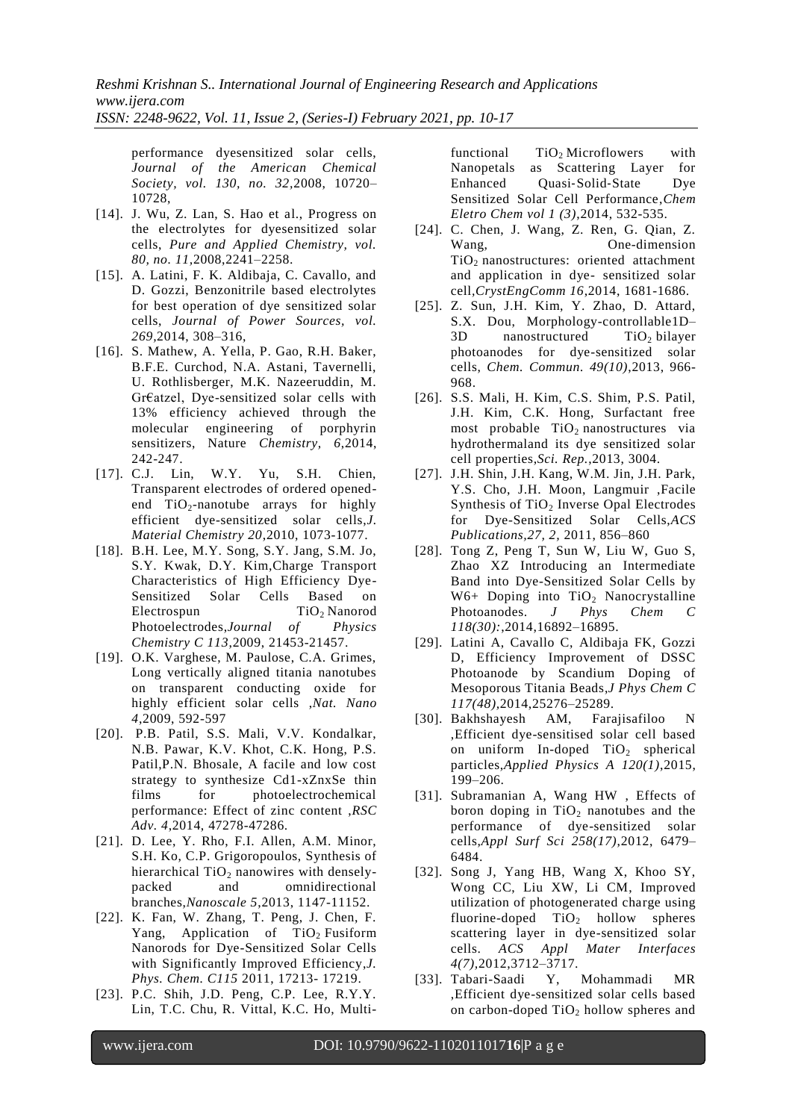performance dyesensitized solar cells, *Journal of the American Chemical Society, vol. 130, no. 32,*2008, 10720– 10728,

- [14]. J. Wu, Z. Lan, S. Hao et al., Progress on the electrolytes for dyesensitized solar cells, *Pure and Applied Chemistry, vol. 80, no. 11,*2008,2241–2258.
- [15]. A. Latini, F. K. Aldibaja, C. Cavallo, and D. Gozzi, Benzonitrile based electrolytes for best operation of dye sensitized solar cells, *Journal of Power Sources, vol. 269,*2014, 308–316,
- [16]. S. Mathew, A. Yella, P. Gao, R.H. Baker, B.F.E. Curchod, N.A. Astani, Tavernelli, U. Rothlisberger, M.K. Nazeeruddin, M. Gr€atzel, Dye-sensitized solar cells with 13% efficiency achieved through the molecular engineering of porphyrin sensitizers, Nature *Chemistry, 6*,2014, 242-247.
- [17]. C.J. Lin, W.Y. Yu, S.H. Chien, Transparent electrodes of ordered openedend  $TiO<sub>2</sub>$ -nanotube arrays for highly efficient dye-sensitized solar cells,*J. Material Chemistry 20*,2010, 1073-1077.
- [18]. B.H. Lee, M.Y. Song, S.Y. Jang, S.M. Jo, S.Y. Kwak, D.Y. Kim,Charge Transport Characteristics of High Efficiency Dye-Sensitized Solar Cells Based on Electrospun TiO<sub>2</sub> Nanorod Photoelectrodes,*Journal of Physics Chemistry C 113*,2009, 21453-21457.
- [19]. O.K. Varghese, M. Paulose, C.A. Grimes, Long vertically aligned titania nanotubes on transparent conducting oxide for highly efficient solar cells ,*Nat. Nano 4*,2009, 592-597
- [20]. P.B. Patil, S.S. Mali, V.V. Kondalkar, N.B. Pawar, K.V. Khot, C.K. Hong, P.S. Patil,P.N. Bhosale, A facile and low cost strategy to synthesize Cd1-xZnxSe thin films for photoelectrochemical performance: Effect of zinc content ,*RSC Adv. 4*,2014, 47278-47286.
- [21]. D. Lee, Y. Rho, F.I. Allen, A.M. Minor, S.H. Ko, C.P. Grigoropoulos, [Synthesis of](https://pubs.rsc.org/en/content/articlehtml/2013/nr/c3nr02584e)  hierarchical  $TiO<sub>2</sub>$  [nanowires with densely](https://pubs.rsc.org/en/content/articlehtml/2013/nr/c3nr02584e)[packed and omnidirectional](https://pubs.rsc.org/en/content/articlehtml/2013/nr/c3nr02584e)  [branches,](https://pubs.rsc.org/en/content/articlehtml/2013/nr/c3nr02584e)*Nanoscale 5*,2013, 1147-11152.
- [22]. K. Fan, W. Zhang, T. Peng, J. Chen, F. Yang, Application of  $TiO<sub>2</sub>$  Fusiform Nanorods for Dye-Sensitized Solar Cells with Significantly Improved Efficiency,*J. Phys. Chem. C115* 2011, 17213- 17219.
- [23]. P.C. Shih, J.D. Peng, C.P. Lee, R.Y.Y. Lin, T.C. Chu, R. Vittal, K.C. Ho, Multi-

functional  $TiO<sub>2</sub>$  Microflowers with Nanopetals as Scattering Layer for Enhanced Ouasi-Solid-State Dye Sensitized Solar Cell Performance,*Chem Eletro Chem vol 1 (3)*,2014, 532-535.

- [24]. C. Chen, J. Wang, Z. Ren, G. Qian, Z. Wang, One-dimension TiO<sup>2</sup> nanostructures: oriented attachment and application in dye- sensitized solar cell*,CrystEngComm 16*,2014, 1681-1686.
- [25]. Z. Sun, J.H. Kim, Y. Zhao, D. Attard, S.X. Dou, Morphology-controllable1D–  $3D$  nanostructured  $TiO<sub>2</sub>$  bilayer photoanodes for dye-sensitized solar cells, *Chem. Commun. 49(10)*,2013, 966- 968.
- [26]. S.S. Mali, H. Kim, C.S. Shim, P.S. Patil, J.H. Kim, C.K. Hong, Surfactant free most probable  $TiO<sub>2</sub>$  nanostructures via hydrothermaland its dye sensitized solar cell properties,*Sci. Rep.*,2013, 3004.
- [27]. J.H. Shin, J.H. Kang, W.M. Jin, J.H. Park, Y.S. Cho, J.H. Moon, Langmuir ,Facile Synthesis of TiO<sub>2</sub> Inverse Opal Electrodes for Dye-Sensitized Solar Cells,*ACS Publications,27, 2,* 2011, 856–860
- [28]. Tong Z, Peng T, Sun W, Liu W, Guo S, Zhao XZ Introducing an Intermediate Band into Dye-Sensitized Solar Cells by  $W6+$  Doping into TiO<sub>2</sub> Nanocrystalline Photoanodes. *J Phys Chem 118(30):*,2014,16892–16895.
- [29]. Latini A, Cavallo C, Aldibaja FK, Gozzi D, Efficiency Improvement of DSSC Photoanode by Scandium Doping of Mesoporous Titania Beads,*J Phys Chem C 117(48),*2014,25276–25289.
- [30]. Bakhshayesh AM, Farajisafiloo N ,Efficient dye-sensitised solar cell based on uniform In-doped  $TiO<sub>2</sub>$  spherical particles,*Applied Physics A 120(1)*,2015, 199–206.
- [31]. Subramanian A, Wang HW , Effects of boron doping in  $TiO<sub>2</sub>$  nanotubes and the performance of dye-sensitized solar cells,*Appl Surf Sci 258(17)*,2012, 6479– 6484.
- [32]. Song J, Yang HB, Wang X, Khoo SY, Wong CC, Liu XW, Li CM, Improved utilization of photogenerated charge using fluorine-doped  $TiO<sub>2</sub>$  hollow spheres scattering layer in dye-sensitized solar cells. *ACS Appl Mater Interfaces 4(7),*2012,3712–3717.
- [33]. Tabari-Saadi Y, Mohammadi MR ,Efficient dye-sensitized solar cells based on carbon-doped  $TiO<sub>2</sub>$  hollow spheres and